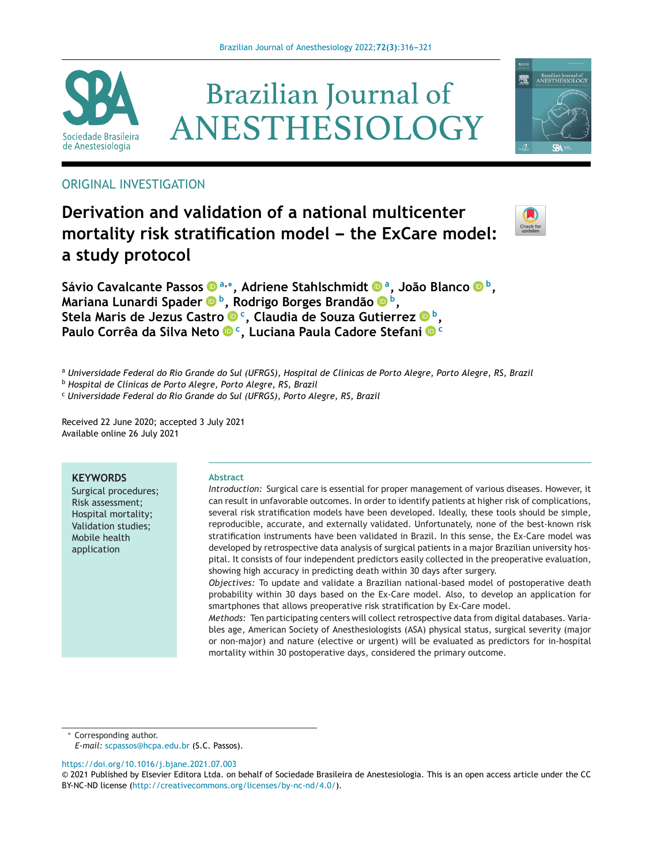





# **Derivation and validation of a national multicenter mortality** risk stratification model - the ExCare model: **a study protocol**



矕

Brazilian Journal of<br>ANESTHESIOLOG

**Sávio Cavalcante Passo[s](https://orcid.org/0000-0002-5219-6346) <sup>a</sup>,∗, Adriene Stahlschmid[t](https://orcid.org/0000-0002-1136-7348) a, João Blanco b, Mariana Lunardi Spader b, Rodrigo Borges Brandã[o](https://orcid.org/0000-0001-5525-3150) b, Stela Maris de Jezus Castro c, Claudia de Souza Gutierrez b, Paulo Corrêa da Silva Net[o](https://orcid.org/0000-0002-9529-2063) c, Luciana Paula Cadore Stefan[i](https://orcid.org/0000-0002-3038-3108) <sup>c</sup>**

a Universidade Federal do Rio Grande do Sul (UFRGS), Hospital de Clínicas de Porto Alegre, Porto Alegre, RS, Brazil

<sup>b</sup> *Hospital de Clínicas de Porto Alegre, Porto Alegre, RS, Brazil*

<sup>c</sup> *Universidade Federal do Rio Grande do Sul (UFRGS), Porto Alegre, RS, Brazil*

Received 22 June 2020; accepted 3 July 2021 Available online 26 July 2021

# **KEYWORDS**

Surgical procedures; Risk assessment; Hospital mortality; Validation studies; Mobile health application

#### **Abstract**

*Introduction:* Surgical care is essential for proper management of various diseases. However, it can result in unfavorable outcomes. In order to identify patients at higher risk of complications, several risk stratification models have been developed. Ideally, these tools should be simple, reproducible, accurate, and externally validated. Unfortunately, none of the best-known risk stratification instruments have been validated in Brazil. In this sense, the Ex-Care model was developed by retrospective data analysis of surgical patients in a major Brazilian university hospital. It consists of four independent predictors easily collected in the preoperative evaluation, showing high accuracy in predicting death within 30 days after surgery.

*Objectives:* To update and validate a Brazilian national-based model of postoperative death probability within 30 days based on the Ex-Care model. Also, to develop an application for smartphones that allows preoperative risk stratification by Ex-Care model.

*Methods:* Ten participating centers will collect retrospective data from digital databases. Variables age, American Society of Anesthesiologists (ASA) physical status, surgical severity (major or non-major) and nature (elective or urgent) will be evaluated as predictors for in-hospital mortality within 30 postoperative days, considered the primary outcome.

∗ Corresponding author.

*E-mail:* [scpassos@hcpa.edu.br](mailto:scpassos@hcpa.edu.br) (S.C. Passos).

<https://doi.org/10.1016/j.bjane.2021.07.003>

<sup>©</sup> 2021 Published by Elsevier Editora Ltda. on behalf of Sociedade Brasileira de Anestesiologia. This is an open access article under the CC BY-NC-ND license (<http://creativecommons.org/licenses/by-nc-nd/4.0/>).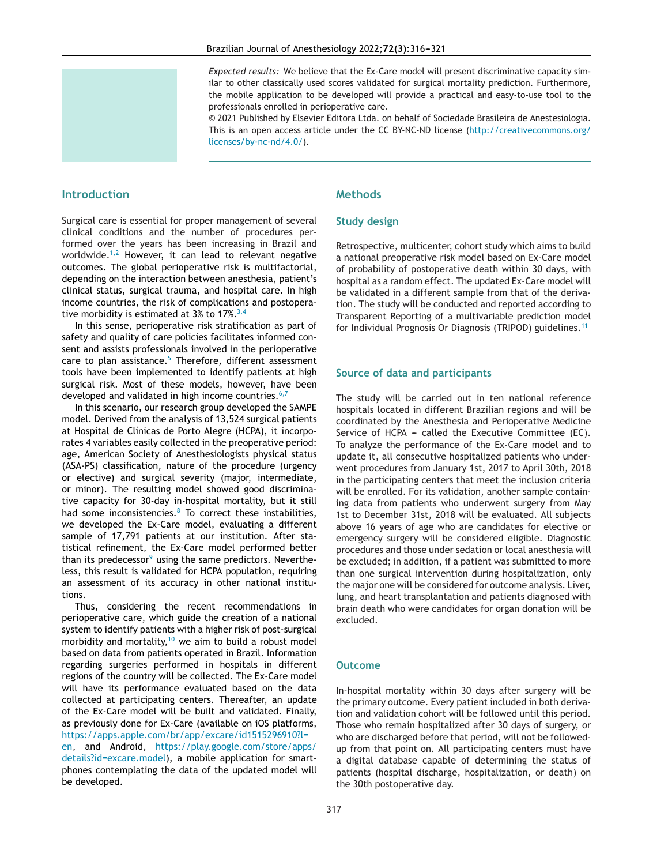*Expected results:* We believe that the Ex-Care model will present discriminative capacity similar to other classically used scores validated for surgical mortality prediction. Furthermore, the mobile application to be developed will provide a practical and easy-to-use tool to the professionals enrolled in perioperative care.

© 2021 Published by Elsevier Editora Ltda. on behalf of Sociedade Brasileira de Anestesiologia. This is an open access article under the CC BY-NC-ND license ([http://creativecommons.org/](http://creativecommons.org/licenses/by-nc-nd/4.0/) [licenses/by-nc-nd/4.0/\)](http://creativecommons.org/licenses/by-nc-nd/4.0/).

# **Introduction**

Surgical care is essential for proper management of several clinical conditions and the number of procedures performed over the years has been increasing in Brazil and worldwide.<sup>[1,2](#page-5-0)</sup> However, it can lead to relevant negative outcomes. The global perioperative risk is multifactorial, depending on the interaction between anesthesia, patient's clinical status, surgical trauma, and hospital care. In high income countries, the risk of complications and postoperative morbidity is estimated at 3% to  $17\%$ .  $3,4$ 

In this sense, perioperative risk stratification as part of safety and quality of care policies facilitates informed consent and assists professionals involved in the perioperative care to plan assistance. $5$  Therefore, different assessment tools have been implemented to identify patients at high surgical risk. Most of these models, however, have been developed and validated in high income countries. $6,7$ 

In this scenario, our research group developed the SAMPE model. Derived from the analysis of 13,524 surgical patients at Hospital de Clínicas de Porto Alegre (HCPA), it incorporates 4 variables easily collected in the preoperative period: age, American Society of Anesthesiologists physical status (ASA-PS) classification, nature of the procedure (urgency or elective) and surgical severity (major, intermediate, or minor). The resulting model showed good discriminative capacity for 30-day in-hospital mortality, but it still had some inconsistencies. $8$  To correct these instabilities, we developed the Ex-Care model, evaluating a different sample of 17,791 patients at our institution. After statistical refinement, the Ex-Care model performed better than its predecessor $9$  using the same predictors. Nevertheless, this result is validated for HCPA population, requiring an assessment of its accuracy in other national institutions.

Thus, considering the recent recommendations in perioperative care, which guide the creation of a national system to identify patients with a higher risk of post-surgical morbidity and mortality, $10$  we aim to build a robust model based on data from patients operated in Brazil. Information regarding surgeries performed in hospitals in different regions of the country will be collected. The Ex-Care model will have its performance evaluated based on the data collected at participating centers. Thereafter, an update of the Ex-Care model will be built and validated. Finally, as previously done for Ex-Care (available on iOS platforms, [https://apps.apple.com/br/app/excare/id1515296910?l=](https://apps.apple.com/br/app/excare/id1515296910?l=en) [en](https://apps.apple.com/br/app/excare/id1515296910?l=en), and Android, [https://play.google.com/store/apps/](https://play.google.com/store/apps/details?id=excare.model) [details?id=excare.model](https://play.google.com/store/apps/details?id=excare.model)), a mobile application for smartphones contemplating the data of the updated model will be developed.

# **Methods**

# **Study design**

Retrospective, multicenter, cohort study which aims to build a national preoperative risk model based on Ex-Care model of probability of postoperative death within 30 days, with hospital as a random effect. The updated Ex-Care model will be validated in a different sample from that of the derivation. The study will be conducted and reported according to Transparent Reporting of a multivariable prediction model for Individual Prognosis Or Diagnosis (TRIPOD) guidelines.[11](#page-5-0)

# **Source of data and participants**

The study will be carried out in ten national reference hospitals located in different Brazilian regions and will be coordinated by the Anesthesia and Perioperative Medicine Service of HCPA - called the Executive Committee (EC). To analyze the performance of the Ex-Care model and to update it, all consecutive hospitalized patients who underwent procedures from January 1st, 2017 to April 30th, 2018 in the participating centers that meet the inclusion criteria will be enrolled. For its validation, another sample containing data from patients who underwent surgery from May 1st to December 31st, 2018 will be evaluated. All subjects above 16 years of age who are candidates for elective or emergency surgery will be considered eligible. Diagnostic procedures and those under sedation or local anesthesia will be excluded; in addition, if a patient was submitted to more than one surgical intervention during hospitalization, only the major one will be considered for outcome analysis. Liver, lung, and heart transplantation and patients diagnosed with brain death who were candidates for organ donation will be excluded.

# **Outcome**

In-hospital mortality within 30 days after surgery will be the primary outcome. Every patient included in both derivation and validation cohort will be followed until this period. Those who remain hospitalized after 30 days of surgery, or who are discharged before that period, will not be followedup from that point on. All participating centers must have a digital database capable of determining the status of patients (hospital discharge, hospitalization, or death) on the 30th postoperative day.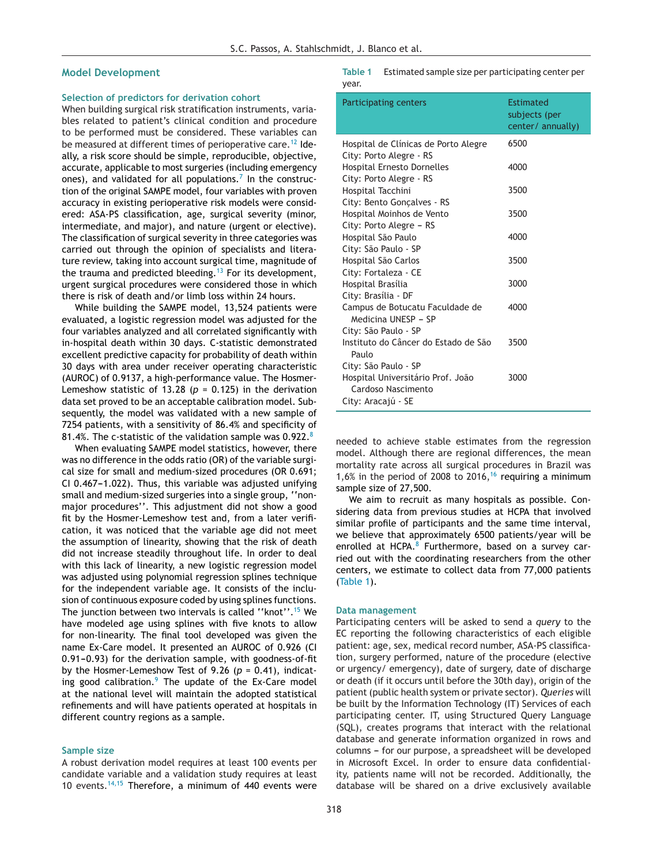#### **Model Development**

#### **Selection of predictors for derivation cohort**

When building surgical risk stratification instruments, variables related to patient's clinical condition and procedure to be performed must be considered. These variables can be measured at different times of perioperative care.<sup>[12](#page-5-0)</sup> Ideally, a risk score should be simple, reproducible, objective, accurate, applicable to most surgeries (including emergency ones), and validated for all populations.<sup>[7](#page-5-0)</sup> In the construction of the original SAMPE model, four variables with proven accuracy in existing perioperative risk models were considered: ASA-PS classification, age, surgical severity (minor, intermediate, and major), and nature (urgent or elective). The classification of surgical severity in three categories was carried out through the opinion of specialists and literature review, taking into account surgical time, magnitude of the trauma and predicted bleeding.<sup>[13](#page-5-0)</sup> For its development, urgent surgical procedures were considered those in which there is risk of death and/or limb loss within 24 hours.

While building the SAMPE model, 13,524 patients were evaluated, a logistic regression model was adjusted for the four variables analyzed and all correlated significantly with in-hospital death within 30 days. C-statistic demonstrated excellent predictive capacity for probability of death within 30 days with area under receiver operating characteristic (AUROC) of 0.9137, a high-performance value. The Hosmer-Lemeshow statistic of 13.28 ( $p = 0.125$ ) in the derivation data set proved to be an acceptable calibration model. Subsequently, the model was validated with a new sample of 7254 patients, with a sensitivity of 86.4% and specificity of [8](#page-5-0)1.4%. The c-statistic of the validation sample was 0.922.<sup>8</sup>

When evaluating SAMPE model statistics, however, there was no difference in the odds ratio (OR) of the variable surgical size for small and medium-sized procedures (OR 0.691; CI 0.467-1.022). Thus, this variable was adjusted unifying small and medium-sized surgeries into a single group, ''nonmajor procedures''. This adjustment did not show a good fit by the Hosmer-Lemeshow test and, from a later verification, it was noticed that the variable age did not meet the assumption of linearity, showing that the risk of death did not increase steadily throughout life. In order to deal with this lack of linearity, a new logistic regression model was adjusted using polynomial regression splines technique for the independent variable age. It consists of the inclusion of continuous exposure coded by using splines functions. The junction between two intervals is called ''knot''.[15](#page-5-0) We have modeled age using splines with five knots to allow for non-linearity. The final tool developed was given the name Ex-Care model. It presented an AUROC of 0.926 (CI 0.91-0.93) for the derivation sample, with goodness-of-fit by the Hosmer-Lemeshow Test of 9.26 (*p* = 0.41), indicating good calibration. $9$  The update of the Ex-Care model at the national level will maintain the adopted statistical refinements and will have patients operated at hospitals in different country regions as a sample.

#### **Sample size**

A robust derivation model requires at least 100 events per candidate variable and a validation study requires at least 10 events.[14,15](#page-5-0) Therefore, a minimum of 440 events were **Table 1** Estimated sample size per participating center per year.

| Participating centers                                  | Estimated<br>subjects (per<br>center/ annually) |
|--------------------------------------------------------|-------------------------------------------------|
| Hospital de Clínicas de Porto Alegre                   | 6500                                            |
| City: Porto Alegre - RS                                |                                                 |
| <b>Hospital Ernesto Dornelles</b>                      | 4000                                            |
| City: Porto Alegre - RS                                |                                                 |
| Hospital Tacchini                                      | 3500                                            |
| City: Bento Gonçalves - RS                             |                                                 |
| Hospital Moinhos de Vento                              | 3500                                            |
| City: Porto Alegre - RS                                |                                                 |
| Hospital São Paulo                                     | 4000                                            |
| City: São Paulo - SP                                   |                                                 |
| Hospital São Carlos                                    | 3500                                            |
| City: Fortaleza - CE                                   |                                                 |
| Hospital Brasília                                      | 3000                                            |
| City: Brasília - DF                                    |                                                 |
| Campus de Botucatu Faculdade de<br>Medicina UNESP - SP | 4000                                            |
| City: São Paulo - SP                                   |                                                 |
| Instituto do Câncer do Estado de São<br>Paulo          | 3500                                            |
| City: São Paulo - SP                                   |                                                 |
| Hospital Universitário Prof. João                      | 3000                                            |
| Cardoso Nascimento                                     |                                                 |
| City: Aracajú - SE                                     |                                                 |

needed to achieve stable estimates from the regression model. Although there are regional differences, the mean mortality rate across all surgical procedures in Brazil was 1,6% in the period of 2008 to 20[16](#page-5-0),<sup>16</sup> requiring a minimum sample size of 27,500.

We aim to recruit as many hospitals as possible. Considering data from previous studies at HCPA that involved similar profile of participants and the same time interval, we believe that approximately 6500 patients/year will be enrolled at HCPA. $8$  Furthermore, based on a survey carried out with the coordinating researchers from the other centers, we estimate to collect data from 77,000 patients (Table 1).

#### **Data management**

Participating centers will be asked to send a *query* to the EC reporting the following characteristics of each eligible patient: age, sex, medical record number, ASA-PS classification, surgery performed, nature of the procedure (elective or urgency/ emergency), date of surgery, date of discharge or death (if it occurs until before the 30th day), origin of the patient (public health system or private sector). *Queries* will be built by the Information Technology (IT) Services of each participating center. IT, using Structured Query Language (SQL), creates programs that interact with the relational database and generate information organized in rows and columns - for our purpose, a spreadsheet will be developed in Microsoft Excel. In order to ensure data confidentiality, patients name will not be recorded. Additionally, the database will be shared on a drive exclusively available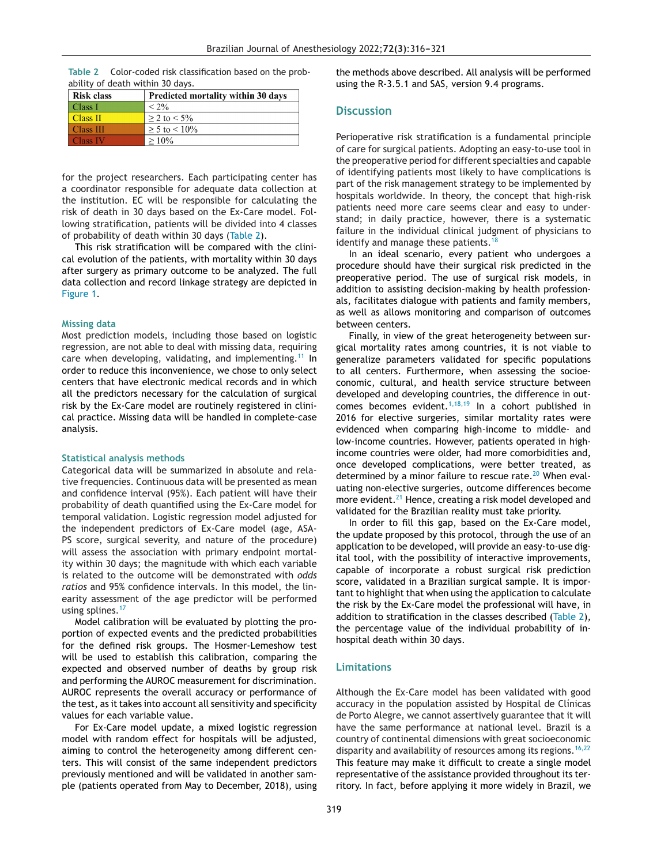| <b>Risk class</b> | Predicted mortality within 30 days |
|-------------------|------------------------------------|
| Class I           | $< 2\%$                            |
| Class II          | $> 2$ to $< 5\%$                   |
| <b>Class III</b>  | $> 5$ to $< 10\%$                  |
| Class IV          | $>10\%$                            |

|                                  |  | Table 2 Color-coded risk classification based on the prob- |  |  |
|----------------------------------|--|------------------------------------------------------------|--|--|
| ability of death within 30 days. |  |                                                            |  |  |

for the project researchers. Each participating center has a coordinator responsible for adequate data collection at the institution. EC will be responsible for calculating the risk of death in 30 days based on the Ex-Care model. Following stratification, patients will be divided into 4 classes of probability of death within 30 days (Table 2).

This risk stratification will be compared with the clinical evolution of the patients, with mortality within 30 days after surgery as primary outcome to be analyzed. The full data collection and record linkage strategy are depicted in [Figure](#page-4-0) 1.

#### **Missing data**

Most prediction models, including those based on logistic regression, are not able to deal with missing data, requiring care when developing, validating, and implementing.<sup>[11](#page-5-0)</sup> In order to reduce this inconvenience, we chose to only select centers that have electronic medical records and in which all the predictors necessary for the calculation of surgical risk by the Ex-Care model are routinely registered in clinical practice. Missing data will be handled in complete-case analysis.

#### **Statistical analysis methods**

Categorical data will be summarized in absolute and relative frequencies. Continuous data will be presented as mean and confidence interval (95%). Each patient will have their probability of death quantified using the Ex-Care model for temporal validation. Logistic regression model adjusted for the independent predictors of Ex-Care model (age, ASA-PS score, surgical severity, and nature of the procedure) will assess the association with primary endpoint mortality within 30 days; the magnitude with which each variable is related to the outcome will be demonstrated with *odds ratios* and 95% confidence intervals. In this model, the linearity assessment of the age predictor will be performed using splines.<sup>[17](#page-5-0)</sup>

Model calibration will be evaluated by plotting the proportion of expected events and the predicted probabilities for the defined risk groups. The Hosmer-Lemeshow test will be used to establish this calibration, comparing the expected and observed number of deaths by group risk and performing the AUROC measurement for discrimination. AUROC represents the overall accuracy or performance of the test, as it takes into account all sensitivity and specificity values for each variable value.

For Ex-Care model update, a mixed logistic regression model with random effect for hospitals will be adjusted, aiming to control the heterogeneity among different centers. This will consist of the same independent predictors previously mentioned and will be validated in another sample (patients operated from May to December, 2018), using the methods above described. All analysis will be performed using the R-3.5.1 and SAS, version 9.4 programs.

# **Discussion**

Perioperative risk stratification is a fundamental principle of care for surgical patients. Adopting an easy-to-use tool in the preoperative period for different specialties and capable of identifying patients most likely to have complications is part of the risk management strategy to be implemented by hospitals worldwide. In theory, the concept that high-risk patients need more care seems clear and easy to understand; in daily practice, however, there is a systematic failure in the individual clinical judgment of physicians to identify and manage these patients.<sup>[18](#page-5-0)</sup>

In an ideal scenario, every patient who undergoes a procedure should have their surgical risk predicted in the preoperative period. The use of surgical risk models, in addition to assisting decision-making by health professionals, facilitates dialogue with patients and family members, as well as allows monitoring and comparison of outcomes between centers.

Finally, in view of the great heterogeneity between surgical mortality rates among countries, it is not viable to generalize parameters validated for specific populations to all centers. Furthermore, when assessing the socioeconomic, cultural, and health service structure between developed and developing countries, the difference in out-comes becomes evident.<sup>[1,18,19](#page-5-0)</sup> In a cohort published in 2016 for elective surgeries, similar mortality rates were evidenced when comparing high-income to middle- and low-income countries. However, patients operated in highincome countries were older, had more comorbidities and, once developed complications, were better treated, as determined by a minor failure to rescue rate. $20$  When evaluating non-elective surgeries, outcome differences become more evident.<sup>[21](#page-5-0)</sup> Hence, creating a risk model developed and validated for the Brazilian reality must take priority.

In order to fill this gap, based on the Ex-Care model, the update proposed by this protocol, through the use of an application to be developed, will provide an easy-to-use digital tool, with the possibility of interactive improvements, capable of incorporate a robust surgical risk prediction score, validated in a Brazilian surgical sample. It is important to highlight that when using the application to calculate the risk by the Ex-Care model the professional will have, in addition to stratification in the classes described (Table 2), the percentage value of the individual probability of inhospital death within 30 days.

### **Limitations**

Although the Ex-Care model has been validated with good accuracy in the population assisted by Hospital de Clínicas de Porto Alegre, we cannot assertively guarantee that it will have the same performance at national level. Brazil is a country of continental dimensions with great socioeconomic disparity and availability of resources among its regions.<sup>[16,22](#page-5-0)</sup> This feature may make it difficult to create a single model representative of the assistance provided throughout its territory. In fact, before applying it more widely in Brazil, we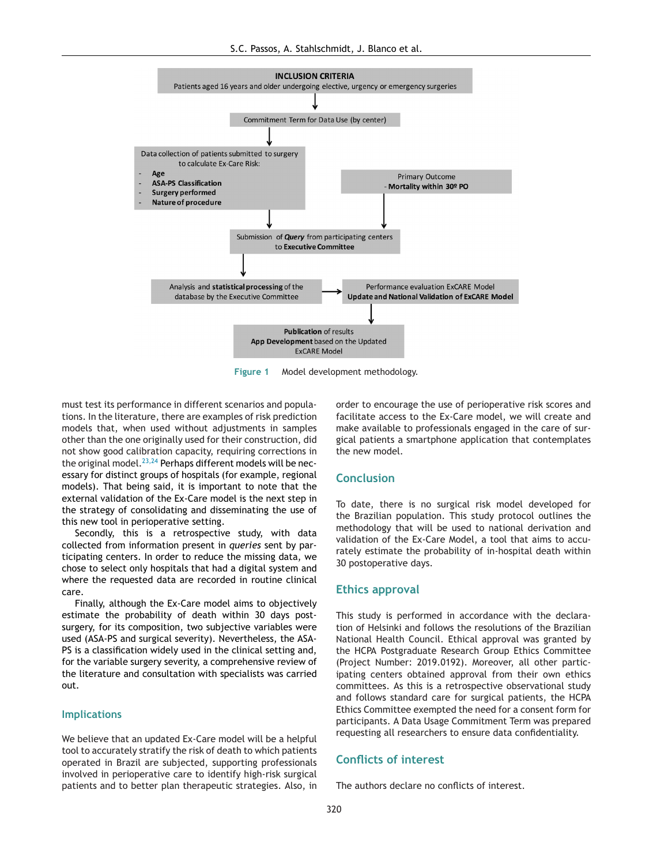<span id="page-4-0"></span>

**Figure 1** Model development methodology.

must test its performance in different scenarios and populations. In the literature, there are examples of risk prediction models that, when used without adjustments in samples other than the one originally used for their construction, did not show good calibration capacity, requiring corrections in the original model.<sup>[23,24](#page-5-0)</sup> Perhaps different models will be necessary for distinct groups of hospitals (for example, regional models). That being said, it is important to note that the external validation of the Ex-Care model is the next step in the strategy of consolidating and disseminating the use of this new tool in perioperative setting.

Secondly, this is a retrospective study, with data collected from information present in *queries* sent by participating centers. In order to reduce the missing data, we chose to select only hospitals that had a digital system and where the requested data are recorded in routine clinical care.

Finally, although the Ex-Care model aims to objectively estimate the probability of death within 30 days postsurgery, for its composition, two subjective variables were used (ASA-PS and surgical severity). Nevertheless, the ASA-PS is a classification widely used in the clinical setting and, for the variable surgery severity, a comprehensive review of the literature and consultation with specialists was carried out.

### **Implications**

We believe that an updated Ex-Care model will be a helpful tool to accurately stratify the risk of death to which patients operated in Brazil are subjected, supporting professionals involved in perioperative care to identify high-risk surgical patients and to better plan therapeutic strategies. Also, in order to encourage the use of perioperative risk scores and facilitate access to the Ex-Care model, we will create and make available to professionals engaged in the care of surgical patients a smartphone application that contemplates the new model.

# **Conclusion**

To date, there is no surgical risk model developed for the Brazilian population. This study protocol outlines the methodology that will be used to national derivation and validation of the Ex-Care Model, a tool that aims to accurately estimate the probability of in-hospital death within 30 postoperative days.

#### **Ethics approval**

This study is performed in accordance with the declaration of Helsinki and follows the resolutions of the Brazilian National Health Council. Ethical approval was granted by the HCPA Postgraduate Research Group Ethics Committee (Project Number: 2019.0192). Moreover, all other participating centers obtained approval from their own ethics committees. As this is a retrospective observational study and follows standard care for surgical patients, the HCPA Ethics Committee exempted the need for a consent form for participants. A Data Usage Commitment Term was prepared requesting all researchers to ensure data confidentiality.

# **Conflicts of interest**

The authors declare no conflicts of interest.